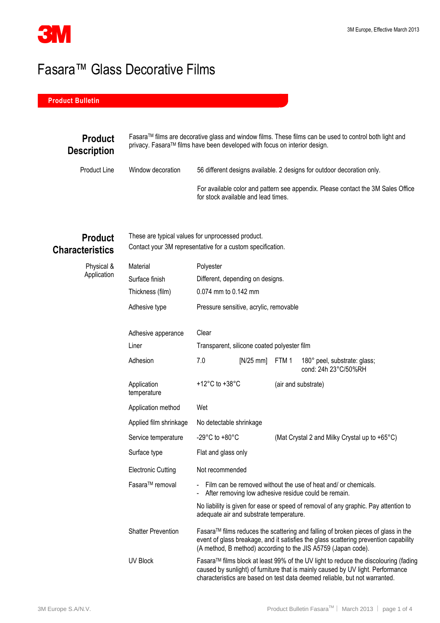

## Fasara™ Glass Decorative Films

## **Product Bulletin**

| <b>Product</b><br><b>Description</b> |  | Fasara™ films are decorative glass and window films. These films can be used to control both light and<br>privacy. Fasara™ films have been developed with focus on interior design. |  |  |
|--------------------------------------|--|-------------------------------------------------------------------------------------------------------------------------------------------------------------------------------------|--|--|
| Product Line<br>Window decoration    |  | 56 different designs available. 2 designs for outdoor decoration only.                                                                                                              |  |  |
|                                      |  | For available color and pattern see appendix. Please contact the 3M Sales Office<br>for stock available and lead times.                                                             |  |  |

## **Product Characteristics**

Physical & Application These are typical values for unprocessed product. Contact your 3M representative for a custom specification.

| Material                    | Polyester                                                                                                                                                                                                                                            |             |                     |                                                      |
|-----------------------------|------------------------------------------------------------------------------------------------------------------------------------------------------------------------------------------------------------------------------------------------------|-------------|---------------------|------------------------------------------------------|
| Surface finish              | Different, depending on designs.                                                                                                                                                                                                                     |             |                     |                                                      |
| Thickness (film)            | 0.074 mm to 0.142 mm                                                                                                                                                                                                                                 |             |                     |                                                      |
| Adhesive type               | Pressure sensitive, acrylic, removable                                                                                                                                                                                                               |             |                     |                                                      |
| Adhesive apperance          | Clear                                                                                                                                                                                                                                                |             |                     |                                                      |
| Liner                       | Transparent, silicone coated polyester film                                                                                                                                                                                                          |             |                     |                                                      |
| Adhesion                    | 7.0                                                                                                                                                                                                                                                  | $[N/25$ mm] | FTM 1               | 180° peel, substrate: glass;<br>cond: 24h 23°C/50%RH |
| Application<br>temperature  | +12 $^{\circ}$ C to +38 $^{\circ}$ C                                                                                                                                                                                                                 |             | (air and substrate) |                                                      |
| Application method          | Wet                                                                                                                                                                                                                                                  |             |                     |                                                      |
| Applied film shrinkage      | No detectable shrinkage                                                                                                                                                                                                                              |             |                     |                                                      |
| Service temperature         | -29°C to +80°C<br>(Mat Crystal 2 and Milky Crystal up to +65°C)                                                                                                                                                                                      |             |                     |                                                      |
| Surface type                | Flat and glass only                                                                                                                                                                                                                                  |             |                     |                                                      |
| <b>Electronic Cutting</b>   | Not recommended                                                                                                                                                                                                                                      |             |                     |                                                      |
| Fasara <sup>™</sup> removal | - Film can be removed without the use of heat and/ or chemicals.<br>After removing low adhesive residue could be remain.<br>$\blacksquare$                                                                                                           |             |                     |                                                      |
|                             | No liability is given for ease or speed of removal of any graphic. Pay attention to<br>adequate air and substrate temperature.                                                                                                                       |             |                     |                                                      |
| <b>Shatter Prevention</b>   | Fasara™ films reduces the scattering and falling of broken pieces of glass in the<br>event of glass breakage, and it satisfies the glass scattering prevention capability<br>(A method, B method) according to the JIS A5759 (Japan code).           |             |                     |                                                      |
| <b>UV Block</b>             | Fasara™ films block at least 99% of the UV light to reduce the discolouring (fading<br>caused by sunlight) of furniture that is mainly caused by UV light. Performance<br>characteristics are based on test data deemed reliable, but not warranted. |             |                     |                                                      |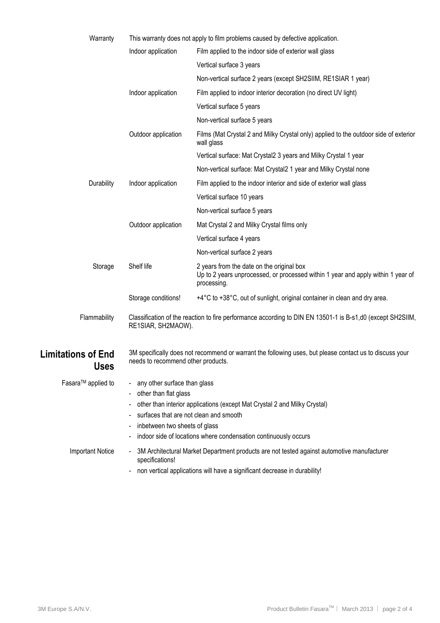| Warranty                                 | This warranty does not apply to film problems caused by defective application.                                                                                                                                                                                                     |                                                                                                                                              |  |
|------------------------------------------|------------------------------------------------------------------------------------------------------------------------------------------------------------------------------------------------------------------------------------------------------------------------------------|----------------------------------------------------------------------------------------------------------------------------------------------|--|
|                                          | Indoor application                                                                                                                                                                                                                                                                 | Film applied to the indoor side of exterior wall glass                                                                                       |  |
|                                          |                                                                                                                                                                                                                                                                                    | Vertical surface 3 years                                                                                                                     |  |
|                                          |                                                                                                                                                                                                                                                                                    | Non-vertical surface 2 years (except SH2SIIM, RE1SIAR 1 year)                                                                                |  |
|                                          | Indoor application                                                                                                                                                                                                                                                                 | Film applied to indoor interior decoration (no direct UV light)                                                                              |  |
|                                          |                                                                                                                                                                                                                                                                                    | Vertical surface 5 years                                                                                                                     |  |
|                                          |                                                                                                                                                                                                                                                                                    | Non-vertical surface 5 years                                                                                                                 |  |
|                                          | Outdoor application                                                                                                                                                                                                                                                                | Films (Mat Crystal 2 and Milky Crystal only) applied to the outdoor side of exterior<br>wall glass                                           |  |
|                                          |                                                                                                                                                                                                                                                                                    | Vertical surface: Mat Crystal2 3 years and Milky Crystal 1 year                                                                              |  |
|                                          |                                                                                                                                                                                                                                                                                    | Non-vertical surface: Mat Crystal2 1 year and Milky Crystal none                                                                             |  |
| Durability                               | Indoor application                                                                                                                                                                                                                                                                 | Film applied to the indoor interior and side of exterior wall glass                                                                          |  |
|                                          |                                                                                                                                                                                                                                                                                    | Vertical surface 10 years                                                                                                                    |  |
|                                          |                                                                                                                                                                                                                                                                                    | Non-vertical surface 5 years                                                                                                                 |  |
|                                          | Outdoor application                                                                                                                                                                                                                                                                | Mat Crystal 2 and Milky Crystal films only                                                                                                   |  |
|                                          |                                                                                                                                                                                                                                                                                    | Vertical surface 4 years                                                                                                                     |  |
|                                          |                                                                                                                                                                                                                                                                                    | Non-vertical surface 2 years                                                                                                                 |  |
| Storage                                  | Shelf life                                                                                                                                                                                                                                                                         | 2 years from the date on the original box<br>Up to 2 years unprocessed, or processed within 1 year and apply within 1 year of<br>processing. |  |
|                                          | Storage conditions!                                                                                                                                                                                                                                                                | +4°C to +38°C, out of sunlight, original container in clean and dry area.                                                                    |  |
| Flammability                             | Classification of the reaction to fire performance according to DIN EN 13501-1 is B-s1,d0 (except SH2SIIM,<br>RE1SIAR, SH2MAOW).                                                                                                                                                   |                                                                                                                                              |  |
| <b>Limitations of End</b><br><b>Uses</b> | 3M specifically does not recommend or warrant the following uses, but please contact us to discuss your<br>needs to recommend other products.                                                                                                                                      |                                                                                                                                              |  |
| Fasara <sup>™</sup> applied to           | - any other surface than glass<br>other than flat glass<br>other than interior applications (except Mat Crystal 2 and Milky Crystal)<br>surfaces that are not clean and smooth<br>inbetween two sheets of glass<br>indoor side of locations where condensation continuously occurs |                                                                                                                                              |  |
| <b>Important Notice</b>                  | 3M Architectural Market Department products are not tested against automotive manufacturer<br>specifications!<br>non vertical applications will have a significant decrease in durability!                                                                                         |                                                                                                                                              |  |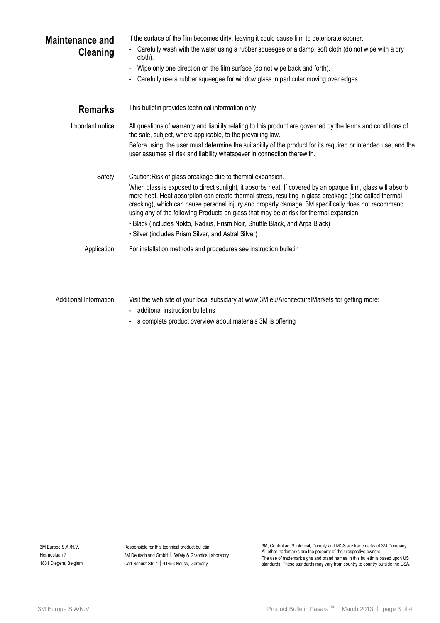| <b>Maintenance and</b><br><b>Cleaning</b> | If the surface of the film becomes dirty, leaving it could cause film to deteriorate sooner.<br>Carefully wash with the water using a rubber squeegee or a damp, soft cloth (do not wipe with a dry<br>cloth).<br>Wipe only one direction on the film surface (do not wipe back and forth).                                                                                                                                                                                                                                                                                                                              |  |  |
|-------------------------------------------|--------------------------------------------------------------------------------------------------------------------------------------------------------------------------------------------------------------------------------------------------------------------------------------------------------------------------------------------------------------------------------------------------------------------------------------------------------------------------------------------------------------------------------------------------------------------------------------------------------------------------|--|--|
|                                           | Carefully use a rubber squeegee for window glass in particular moving over edges.                                                                                                                                                                                                                                                                                                                                                                                                                                                                                                                                        |  |  |
| <b>Remarks</b>                            | This bulletin provides technical information only.                                                                                                                                                                                                                                                                                                                                                                                                                                                                                                                                                                       |  |  |
| Important notice                          | All questions of warranty and liability relating to this product are governed by the terms and conditions of<br>the sale, subject, where applicable, to the prevailing law.                                                                                                                                                                                                                                                                                                                                                                                                                                              |  |  |
|                                           | Before using, the user must determine the suitability of the product for its required or intended use, and the<br>user assumes all risk and liability whatsoever in connection therewith.                                                                                                                                                                                                                                                                                                                                                                                                                                |  |  |
| Safety                                    | Caution: Risk of glass breakage due to thermal expansion.<br>When glass is exposed to direct sunlight, it absorbs heat. If covered by an opaque film, glass will absorb<br>more heat. Heat absorption can create thermal stress, resulting in glass breakage (also called thermal<br>cracking), which can cause personal injury and property damage. 3M specifically does not recommend<br>using any of the following Products on glass that may be at risk for thermal expansion.<br>• Black (includes Nokto, Radius, Prism Noir, Shuttle Black, and Arpa Black)<br>• Silver (includes Prism Silver, and Astral Silver) |  |  |
| Application                               | For installation methods and procedures see instruction bulletin                                                                                                                                                                                                                                                                                                                                                                                                                                                                                                                                                         |  |  |
| Additional Information                    | Visit the web site of your local subsidary at www.3M.eu/ArchitecturalMarkets for getting more:                                                                                                                                                                                                                                                                                                                                                                                                                                                                                                                           |  |  |

- additonal instruction bulletins
- a complete product overview about materials 3M is offering

Responsible for this technical product bulletin 3M Deutschland GmbH | Safety & Graphics Laboratory Carl-Schurz-Str. 1 | 41453 Neuss, Germany

3M, Controltac, Scotchcal, Comply and MCS are trademarks of 3M Company. All other trademarks are the property of their respective owners. The use of trademark signs and brand names in this bulletin is based upon US standards. These standards may vary from country to country outside the USA.